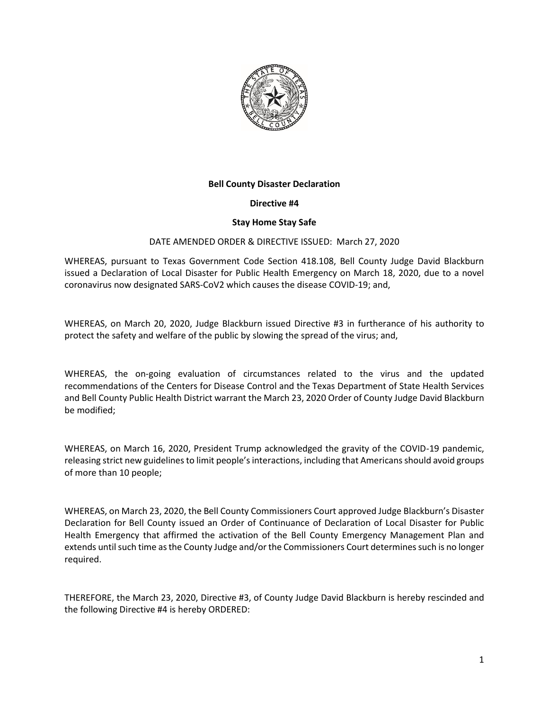

### **Bell County Disaster Declaration**

### **Directive #4**

### **Stay Home Stay Safe**

### DATE AMENDED ORDER & DIRECTIVE ISSUED: March 27, 2020

WHEREAS, pursuant to Texas Government Code Section 418.108, Bell County Judge David Blackburn issued a Declaration of Local Disaster for Public Health Emergency on March 18, 2020, due to a novel coronavirus now designated SARS-CoV2 which causes the disease COVID-19; and,

WHEREAS, on March 20, 2020, Judge Blackburn issued Directive #3 in furtherance of his authority to protect the safety and welfare of the public by slowing the spread of the virus; and,

WHEREAS, the on-going evaluation of circumstances related to the virus and the updated recommendations of the Centers for Disease Control and the Texas Department of State Health Services and Bell County Public Health District warrant the March 23, 2020 Order of County Judge David Blackburn be modified;

WHEREAS, on March 16, 2020, President Trump acknowledged the gravity of the COVID-19 pandemic, releasing strict new guidelines to limit people's interactions, including that Americans should avoid groups of more than 10 people;

WHEREAS, on March 23, 2020, the Bell County Commissioners Court approved Judge Blackburn's Disaster Declaration for Bell County issued an Order of Continuance of Declaration of Local Disaster for Public Health Emergency that affirmed the activation of the Bell County Emergency Management Plan and extends until such time as the County Judge and/or the Commissioners Court determines such is no longer required.

THEREFORE, the March 23, 2020, Directive #3, of County Judge David Blackburn is hereby rescinded and the following Directive #4 is hereby ORDERED: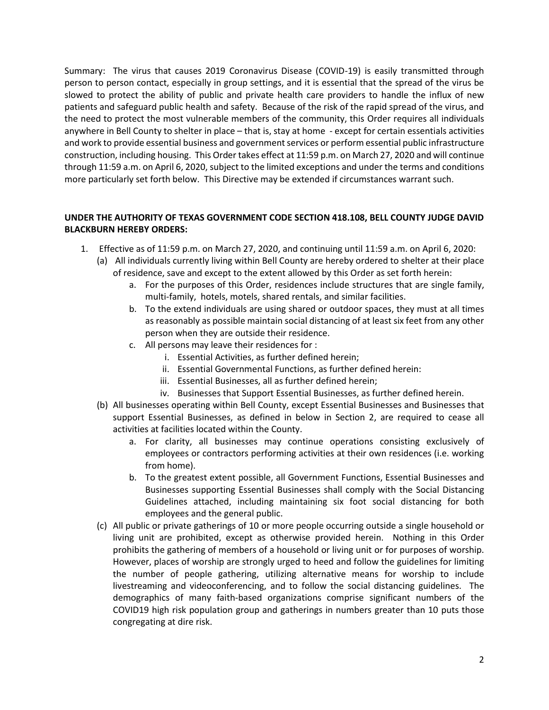Summary: The virus that causes 2019 Coronavirus Disease (COVID-19) is easily transmitted through person to person contact, especially in group settings, and it is essential that the spread of the virus be slowed to protect the ability of public and private health care providers to handle the influx of new patients and safeguard public health and safety. Because of the risk of the rapid spread of the virus, and the need to protect the most vulnerable members of the community, this Order requires all individuals anywhere in Bell County to shelter in place – that is, stay at home - except for certain essentials activities and work to provide essential business and government services or perform essential public infrastructure construction, including housing. This Order takes effect at 11:59 p.m. on March 27, 2020 and will continue through 11:59 a.m. on April 6, 2020, subject to the limited exceptions and under the terms and conditions more particularly set forth below. This Directive may be extended if circumstances warrant such.

# **UNDER THE AUTHORITY OF TEXAS GOVERNMENT CODE SECTION 418.108, BELL COUNTY JUDGE DAVID BLACKBURN HEREBY ORDERS:**

- 1. Effective as of 11:59 p.m. on March 27, 2020, and continuing until 11:59 a.m. on April 6, 2020:
	- (a) All individuals currently living within Bell County are hereby ordered to shelter at their place of residence, save and except to the extent allowed by this Order as set forth herein:
		- a. For the purposes of this Order, residences include structures that are single family, multi-family, hotels, motels, shared rentals, and similar facilities.
		- b. To the extend individuals are using shared or outdoor spaces, they must at all times as reasonably as possible maintain social distancing of at least six feet from any other person when they are outside their residence.
		- c. All persons may leave their residences for :
			- i. Essential Activities, as further defined herein;
			- ii. Essential Governmental Functions, as further defined herein:
			- iii. Essential Businesses, all as further defined herein;
			- iv. Businesses that Support Essential Businesses, as further defined herein.
	- (b) All businesses operating within Bell County, except Essential Businesses and Businesses that support Essential Businesses, as defined in below in Section 2, are required to cease all activities at facilities located within the County.
		- a. For clarity, all businesses may continue operations consisting exclusively of employees or contractors performing activities at their own residences (i.e. working from home).
		- b. To the greatest extent possible, all Government Functions, Essential Businesses and Businesses supporting Essential Businesses shall comply with the Social Distancing Guidelines attached, including maintaining six foot social distancing for both employees and the general public.
	- (c) All public or private gatherings of 10 or more people occurring outside a single household or living unit are prohibited, except as otherwise provided herein. Nothing in this Order prohibits the gathering of members of a household or living unit or for purposes of worship. However, places of worship are strongly urged to heed and follow the guidelines for limiting the number of people gathering, utilizing alternative means for worship to include livestreaming and videoconferencing, and to follow the social distancing guidelines. The demographics of many faith-based organizations comprise significant numbers of the COVID19 high risk population group and gatherings in numbers greater than 10 puts those congregating at dire risk.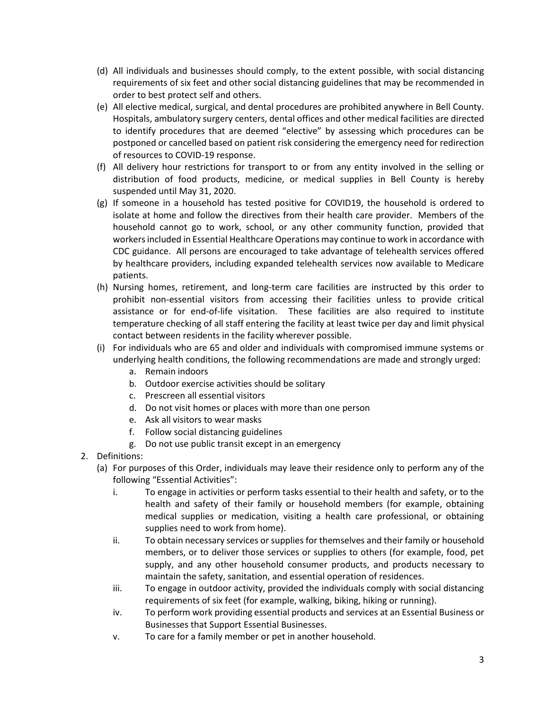- (d) All individuals and businesses should comply, to the extent possible, with social distancing requirements of six feet and other social distancing guidelines that may be recommended in order to best protect self and others.
- (e) All elective medical, surgical, and dental procedures are prohibited anywhere in Bell County. Hospitals, ambulatory surgery centers, dental offices and other medical facilities are directed to identify procedures that are deemed "elective" by assessing which procedures can be postponed or cancelled based on patient risk considering the emergency need for redirection of resources to COVID-19 response.
- (f) All delivery hour restrictions for transport to or from any entity involved in the selling or distribution of food products, medicine, or medical supplies in Bell County is hereby suspended until May 31, 2020.
- (g) If someone in a household has tested positive for COVID19, the household is ordered to isolate at home and follow the directives from their health care provider. Members of the household cannot go to work, school, or any other community function, provided that workers included in Essential Healthcare Operations may continue to work in accordance with CDC guidance. All persons are encouraged to take advantage of telehealth services offered by healthcare providers, including expanded telehealth services now available to Medicare patients.
- (h) Nursing homes, retirement, and long-term care facilities are instructed by this order to prohibit non-essential visitors from accessing their facilities unless to provide critical assistance or for end-of-life visitation. These facilities are also required to institute temperature checking of all staff entering the facility at least twice per day and limit physical contact between residents in the facility wherever possible.
- (i) For individuals who are 65 and older and individuals with compromised immune systems or underlying health conditions, the following recommendations are made and strongly urged:
	- a. Remain indoors
	- b. Outdoor exercise activities should be solitary
	- c. Prescreen all essential visitors
	- d. Do not visit homes or places with more than one person
	- e. Ask all visitors to wear masks
	- f. Follow social distancing guidelines
	- g. Do not use public transit except in an emergency
- 2. Definitions:
	- (a) For purposes of this Order, individuals may leave their residence only to perform any of the following "Essential Activities":
		- i. To engage in activities or perform tasks essential to their health and safety, or to the health and safety of their family or household members (for example, obtaining medical supplies or medication, visiting a health care professional, or obtaining supplies need to work from home).
		- ii. To obtain necessary services or supplies for themselves and their family or household members, or to deliver those services or supplies to others (for example, food, pet supply, and any other household consumer products, and products necessary to maintain the safety, sanitation, and essential operation of residences.
		- iii. To engage in outdoor activity, provided the individuals comply with social distancing requirements of six feet (for example, walking, biking, hiking or running).
		- iv. To perform work providing essential products and services at an Essential Business or Businesses that Support Essential Businesses.
		- v. To care for a family member or pet in another household.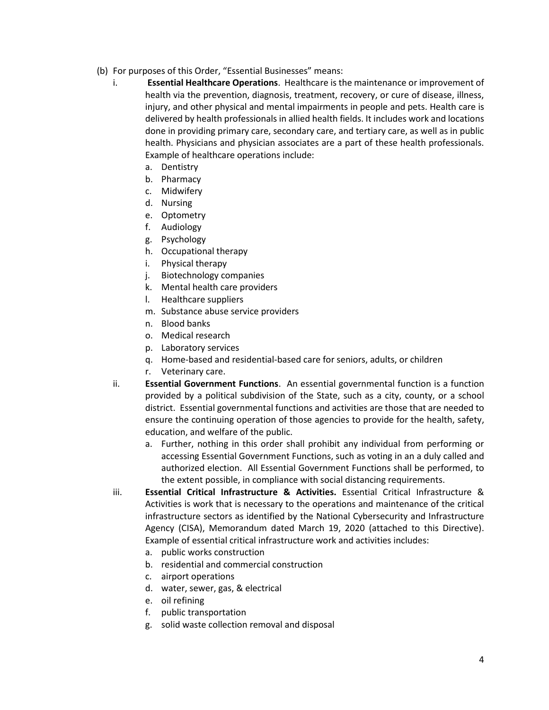- (b) For purposes of this Order, "Essential Businesses" means:
	- i. **Essential Healthcare Operations**. Healthcare is the maintenance or improvement of health via the prevention, diagnosis, treatment, recovery, or cure of disease, illness, injury, and other physical and mental impairments in people and pets. Health care is delivered by health professionals in allied health fields. It includes work and locations done in providing primary care, secondary care, and tertiary care, as well as in public health. Physicians and physician associates are a part of these health professionals. Example of healthcare operations include:
		- a. Dentistry
		- b. Pharmacy
		- c. Midwifery
		- d. Nursing
		- e. Optometry
		- f. Audiology
		- g. Psychology
		- h. Occupational therapy
		- i. Physical therapy
		- j. Biotechnology companies
		- k. Mental health care providers
		- l. Healthcare suppliers
		- m. Substance abuse service providers
		- n. Blood banks
		- o. Medical research
		- p. Laboratory services
		- q. Home-based and residential-based care for seniors, adults, or children
		- r. Veterinary care.
	- ii. **Essential Government Functions**. An essential governmental function is a function provided by a political subdivision of the State, such as a city, county, or a school district. Essential governmental functions and activities are those that are needed to ensure the continuing operation of those agencies to provide for the health, safety, education, and welfare of the public.
		- a. Further, nothing in this order shall prohibit any individual from performing or accessing Essential Government Functions, such as voting in an a duly called and authorized election. All Essential Government Functions shall be performed, to the extent possible, in compliance with social distancing requirements.
	- iii. **Essential Critical Infrastructure & Activities.** Essential Critical Infrastructure & Activities is work that is necessary to the operations and maintenance of the critical infrastructure sectors as identified by the National Cybersecurity and Infrastructure Agency (CISA), Memorandum dated March 19, 2020 (attached to this Directive). Example of essential critical infrastructure work and activities includes:
		- a. public works construction
		- b. residential and commercial construction
		- c. airport operations
		- d. water, sewer, gas, & electrical
		- e. oil refining
		- f. public transportation
		- g. solid waste collection removal and disposal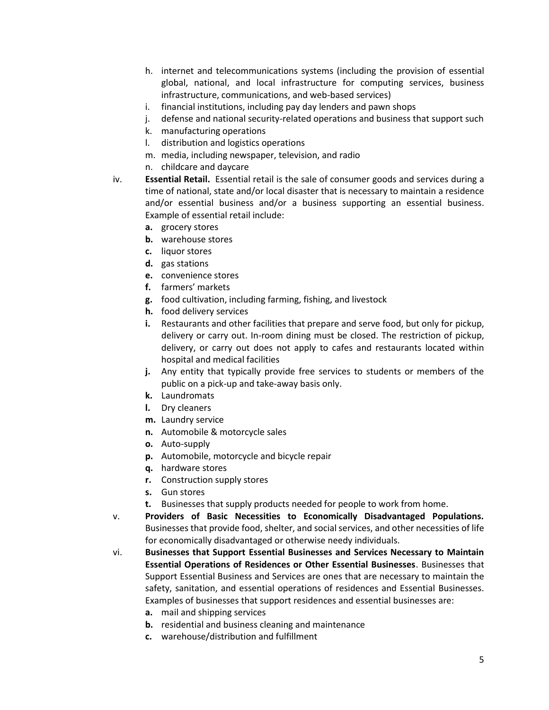- h. internet and telecommunications systems (including the provision of essential global, national, and local infrastructure for computing services, business infrastructure, communications, and web-based services)
- i. financial institutions, including pay day lenders and pawn shops
- j. defense and national security-related operations and business that support such
- k. manufacturing operations
- l. distribution and logistics operations
- m. media, including newspaper, television, and radio
- n. childcare and daycare
- iv. **Essential Retail.** Essential retail is the sale of consumer goods and services during a time of national, state and/or local disaster that is necessary to maintain a residence and/or essential business and/or a business supporting an essential business. Example of essential retail include:
	- **a.** grocery stores
	- **b.** warehouse stores
	- **c.** liquor stores
	- **d.** gas stations
	- **e.** convenience stores
	- **f.** farmers' markets
	- **g.** food cultivation, including farming, fishing, and livestock
	- **h.** food delivery services
	- **i.** Restaurants and other facilities that prepare and serve food, but only for pickup, delivery or carry out. In-room dining must be closed. The restriction of pickup, delivery, or carry out does not apply to cafes and restaurants located within hospital and medical facilities
	- **j.** Any entity that typically provide free services to students or members of the public on a pick-up and take-away basis only.
	- **k.** Laundromats
	- **l.** Dry cleaners
	- **m.** Laundry service
	- **n.** Automobile & motorcycle sales
	- **o.** Auto-supply
	- **p.** Automobile, motorcycle and bicycle repair
	- **q.** hardware stores
	- **r.** Construction supply stores
	- **s.** Gun stores
	- **t.** Businesses that supply products needed for people to work from home.
- v. **Providers of Basic Necessities to Economically Disadvantaged Populations.**  Businesses that provide food, shelter, and social services, and other necessities of life for economically disadvantaged or otherwise needy individuals.
- vi. **Businesses that Support Essential Businesses and Services Necessary to Maintain Essential Operations of Residences or Other Essential Businesses**. Businesses that Support Essential Business and Services are ones that are necessary to maintain the safety, sanitation, and essential operations of residences and Essential Businesses. Examples of businesses that support residences and essential businesses are:
	- **a.** mail and shipping services
	- **b.** residential and business cleaning and maintenance
	- **c.** warehouse/distribution and fulfillment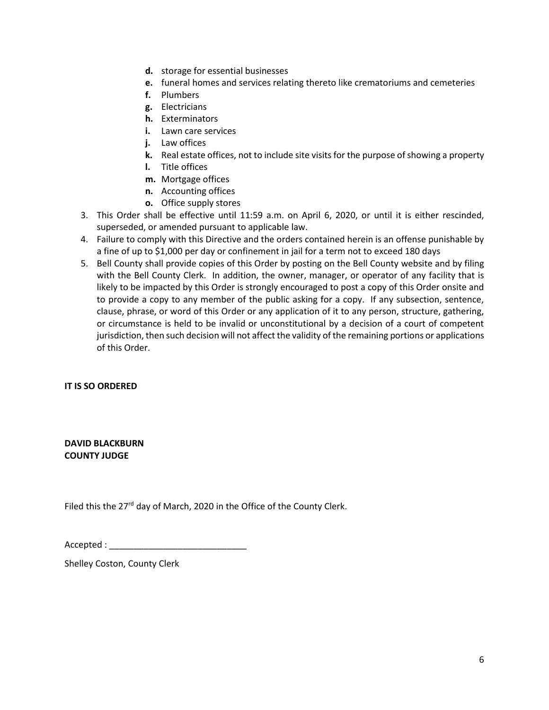- **d.** storage for essential businesses
- **e.** funeral homes and services relating thereto like crematoriums and cemeteries
- **f.** Plumbers
- **g.** Electricians
- **h.** Exterminators
- **i.** Lawn care services
- **j.** Law offices
- **k.** Real estate offices, not to include site visits for the purpose of showing a property
- **l.** Title offices
- **m.** Mortgage offices
- **n.** Accounting offices
- **o.** Office supply stores
- 3. This Order shall be effective until 11:59 a.m. on April 6, 2020, or until it is either rescinded, superseded, or amended pursuant to applicable law.
- 4. Failure to comply with this Directive and the orders contained herein is an offense punishable by a fine of up to \$1,000 per day or confinement in jail for a term not to exceed 180 days
- 5. Bell County shall provide copies of this Order by posting on the Bell County website and by filing with the Bell County Clerk. In addition, the owner, manager, or operator of any facility that is likely to be impacted by this Order is strongly encouraged to post a copy of this Order onsite and to provide a copy to any member of the public asking for a copy. If any subsection, sentence, clause, phrase, or word of this Order or any application of it to any person, structure, gathering, or circumstance is held to be invalid or unconstitutional by a decision of a court of competent jurisdiction, then such decision will not affect the validity of the remaining portions or applications of this Order.

### **IT IS SO ORDERED**

**DAVID BLACKBURN COUNTY JUDGE**

Filed this the 27<sup>rd</sup> day of March, 2020 in the Office of the County Clerk.

 $Accepted:$ 

Shelley Coston, County Clerk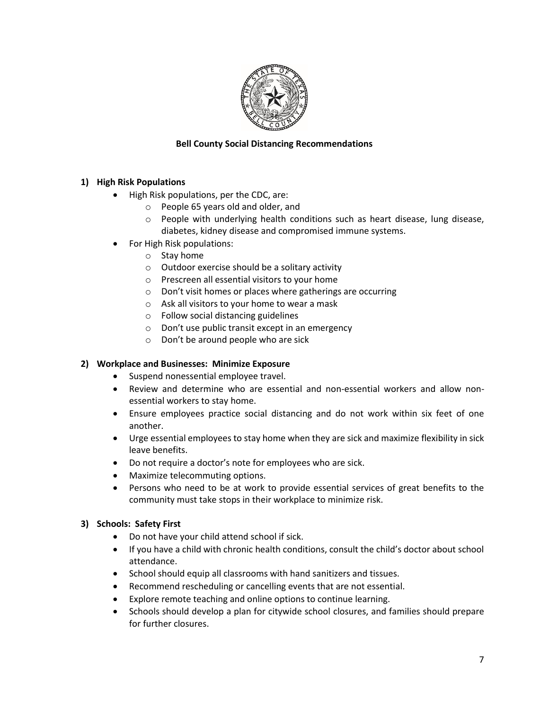

# **Bell County Social Distancing Recommendations**

# **1) High Risk Populations**

- High Risk populations, per the CDC, are:
	- o People 65 years old and older, and
	- $\circ$  People with underlying health conditions such as heart disease, lung disease, diabetes, kidney disease and compromised immune systems.
- For High Risk populations:
	- o Stay home
	- o Outdoor exercise should be a solitary activity
	- o Prescreen all essential visitors to your home
	- o Don't visit homes or places where gatherings are occurring
	- o Ask all visitors to your home to wear a mask
	- o Follow social distancing guidelines
	- o Don't use public transit except in an emergency
	- o Don't be around people who are sick

# **2) Workplace and Businesses: Minimize Exposure**

- Suspend nonessential employee travel.
- Review and determine who are essential and non-essential workers and allow nonessential workers to stay home.
- Ensure employees practice social distancing and do not work within six feet of one another.
- Urge essential employees to stay home when they are sick and maximize flexibility in sick leave benefits.
- Do not require a doctor's note for employees who are sick.
- Maximize telecommuting options.
- Persons who need to be at work to provide essential services of great benefits to the community must take stops in their workplace to minimize risk.

### **3) Schools: Safety First**

- Do not have your child attend school if sick.
- If you have a child with chronic health conditions, consult the child's doctor about school attendance.
- School should equip all classrooms with hand sanitizers and tissues.
- Recommend rescheduling or cancelling events that are not essential.
- Explore remote teaching and online options to continue learning.
- Schools should develop a plan for citywide school closures, and families should prepare for further closures.